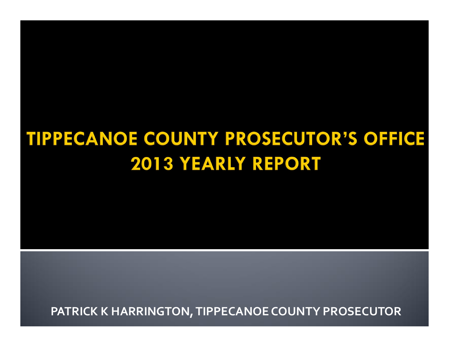### **TIPPECANOE COUNTY PROSECUTOR'S OFFICE 2013 YEARLY REPORT**

**PATRICK K HARRINGTON, TIPPECANOE COUNTY PROSECUTOR**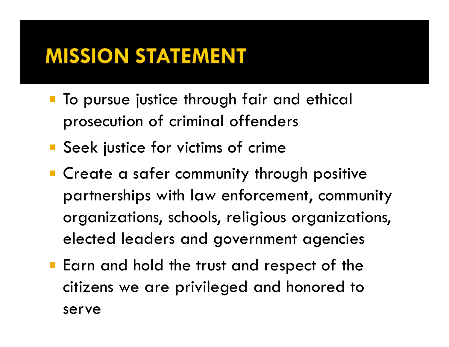### **MISSION STATEMENT**

- **The pursue justice through fair and ethical** prosecution of criminal offenders
- **Seek justice for victims of crime**
- **Create a safer community through positive** partnerships with law enforcement, community organizations, schools, religious organizations, elected leaders and government agencies
- **Earn and hold the trust and respect of the** citizens we are privileged and honored to serve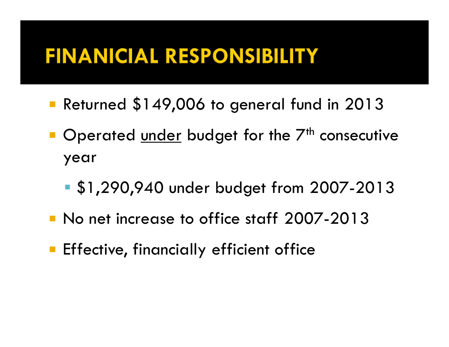### **FINANICIAL RESPONSIBILITY**

- ° Returned \$149,006 to general fund in 2013
- Operated under budget for the 7<sup>th</sup> consecutive year
	- **S1,290,940 under budget from 2007-2013**
- ° No net increase to office staff 2007-2013
- **Effective, financially efficient office**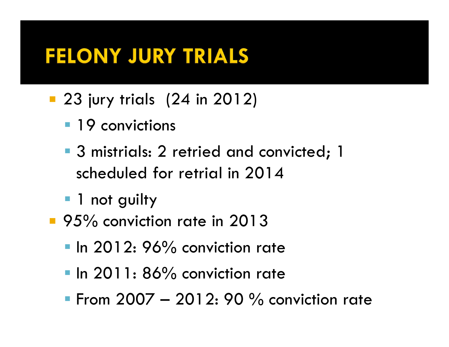### **FELONY JURY TRIALS**

- **23 jury trials (24 in 2012)** 
	- **19** convictions
	- **3 mistrials: 2 retried and convicted; 1** scheduled for retrial in 2014
	- **1** not guilty
- 95% conviction rate in 2013
	- In 2012: 96% conviction rate
	- **Iolian 2011: 86% conviction rate**
	- **From 2007 2012: 90 % conviction rate**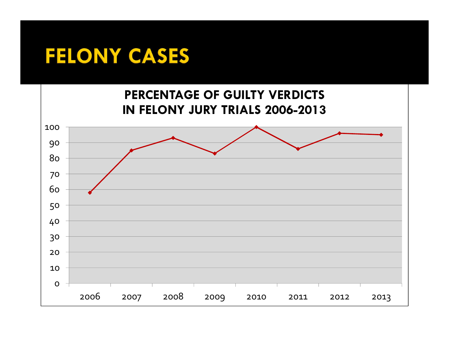#### **FELONY CASES**

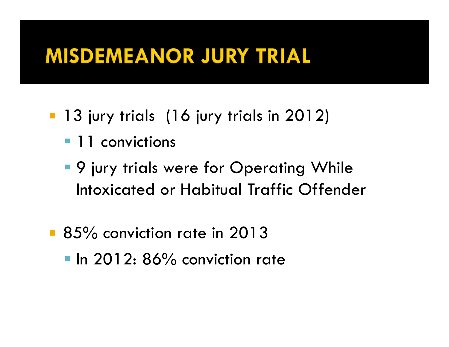### **MISDEMEANOR JURY TRIAL**

- **13 jury trials (16 jury trials in 2012)** 
	- **11** convictions
	- **9 jury trials were for Operating While** Intoxicated or Habitual Traffic Offender
- 85% conviction rate in 2013 In 2012: 86% conviction rate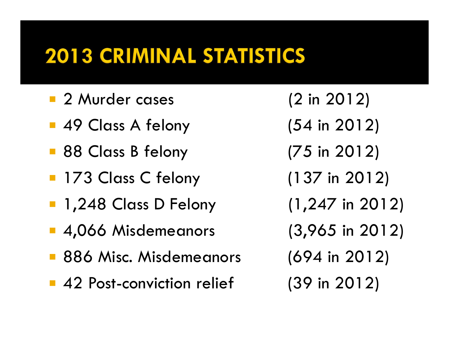- ° 2 Murder cases (2 in 2012)
- 49 Class A felony (54 in 2012)
- 88 Class B felony (75 in 2012)
- 173 Class C felony (137 in 2012)
- 1,248 Class D Felony (1,247 in 2012)
- 4,066 Misdemeanors (3,965 in 2012)
- **886 Misc. Misdemeanors** (694 in 2012)
- ° 42 Post-conviction relief (39 in 2012)
- 
- 
- 
- 
- 
- 
- 
-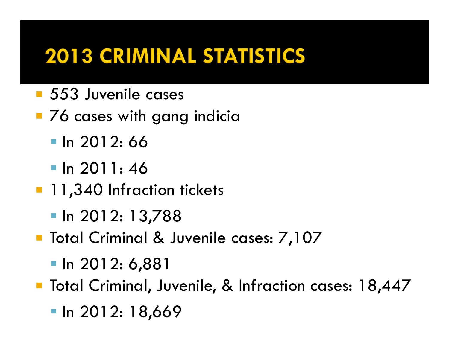- ° 553 Juvenile cases
- **76 cases with gang indicia** 
	- $\blacksquare$  In 2012: 66
	- $\blacksquare$  In 2011: 46
- **11,340 Infraction tickets** 
	- $\blacksquare$  In 2012: 13,788
- **Total Criminal & Juvenile cases: 7,107** 
	- **In 2012: 6,881**
- **Total Criminal, Juvenile, & Infraction cases: 18,447** 
	- $\blacksquare$  In 2012: 18,669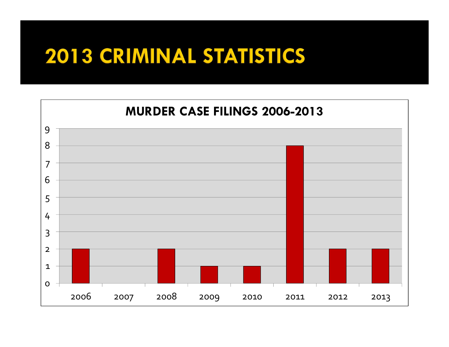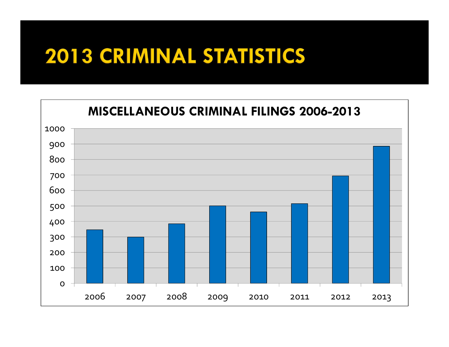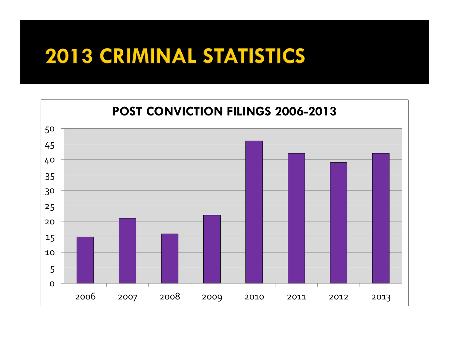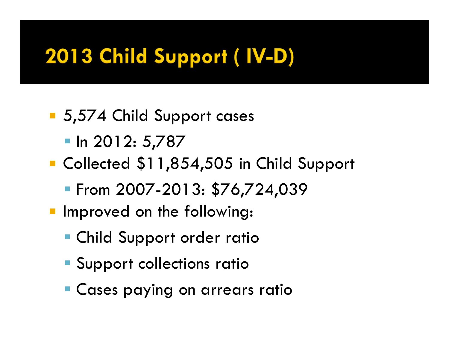# 2013 Child Support (IV-D)

- 5,574 Child Support cases
	- $\blacksquare$  In 2012: 5,787
- ° Collected \$11,854,505 in Child Support
	- From 2007-2013: \$76,724,039
- **Improved on the following:** 
	- **Child Support order ratio**
	- **Support collections ration**
	- **Cases paying on arrears rations**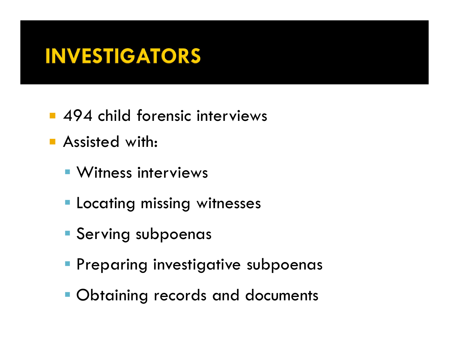## **INVESTIGATORS**

- **494 child forensic interviews**
- **Assisted with:** 
	- **Witness interviews**
	- **E** Locating missing witnesses
	- **Serving subpoenas**
	- **Preparing investigative subpoenas**
	- **Obtaining records and documents**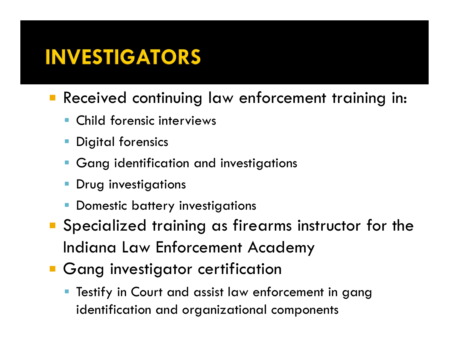### **INVESTIGATORS**

- **Received continuing law enforcement training in:** 
	- ß Child forensic interviews
	- **Digital forensics**
	- **Gang identification and investigations**
	- ß Drug investigations
	- ß Domestic battery investigations
- ° Specialized training as firearms instructor for the Indiana Law Enforcement Academy
- **Gang investigator certification** 
	- Testify in Court and assist law enforcement in gang identification and organizational components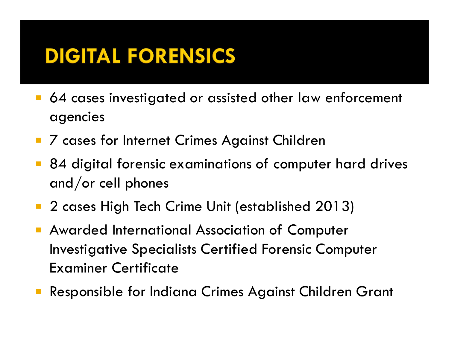### **DIGITAL FORENSICS**

- 64 cases investigated or assisted other law enforcement agencies
- 7 cases for Internet Crimes Against Children
- 84 digital forensic examinations of computer hard drives and/or cell phones
- 2 cases High Tech Crime Unit (established 2013)
- ° Awarded International Association of Computer Investigative Specialists Certified Forensic Computer Examiner Certificate
- ° Responsible for Indiana Crimes Against Children Grant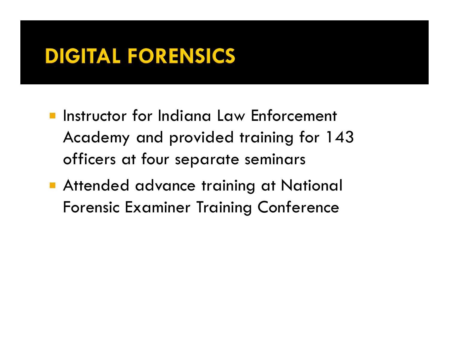### **DIGITAL FORENSICS**

- **Instructor for Indiana Law Enforcement** Academy and provided training for 143 officers at four separate seminars
- **Attended advance training at National** Forensic Examiner Training Conference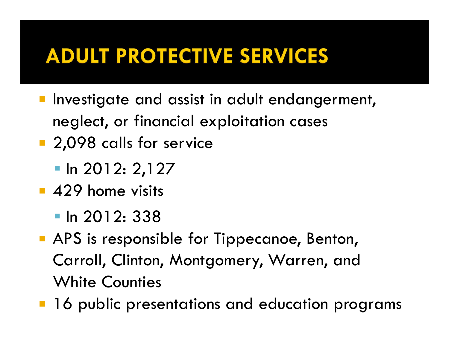### **ADULT PROTECTIVE SERVICES**

- **Investigate and assist in adult endangerment,** neglect, or financial exploitation cases
- <sup>2</sup> 2,098 calls for service
	- $\blacksquare$  In 2012: 2,127
- **429 home visits** 
	- $\blacksquare$  In 2012: 338
- **APS is responsible for Tippecanoe, Benton,** Carroll, Clinton, Montgomery, Warren, and White Counties
- 16 public presentations and education programs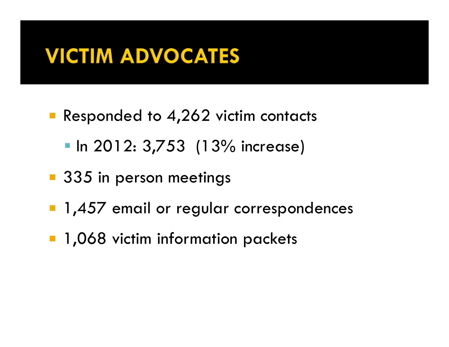### **VICTIM ADVOCATES**

- Responded to 4,262 victim contacts
	- **In 2012: 3,753 (13% increase)**
- 335 in person meetings
- **1,457 email or regular correspondences**
- **1,068 victim information packets**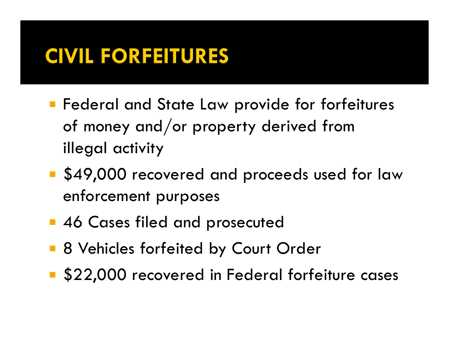### **CIVIL FORFEITURES**

- **F** Federal and State Law provide for forfeitures of money and/or property derived from illegal activity
- **S49,000 recovered and proceeds used for law** enforcement purposes
- **46 Cases filed and prosecuted**
- **8 Vehicles forfeited by Court Order**
- **\$22,000 recovered in Federal forfeiture cases**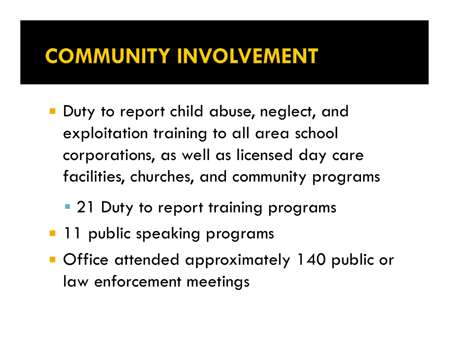## **COMMUNITY INVOLVEMENT**

- **Duty to report child abuse, neglect, and** exploitation training to all area school corporations, as well as licensed day care facilities, churches, and community programs
	- **21 Duty to report training programs**
- **11 public speaking programs**
- ° Office attended approximately 140 public or law enforcement meetings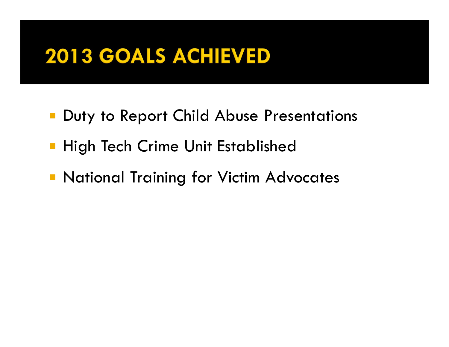## 2013 GOALS ACHIEVED

- **Duty to Report Child Abuse Presentations**
- **High Tech Crime Unit Established**
- ° National Training for Victim Advocates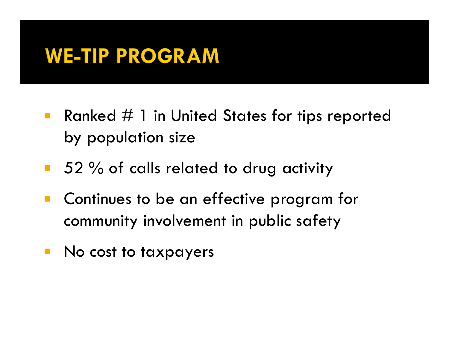#### **WE-TIP PROGRAM**

- **Ranked**  $#$  **1 in United States for tips reported** by population size
- 52 % of calls related to drug activity
- Continues to be an effective program for community involvement in public safety
- No cost to taxpayers